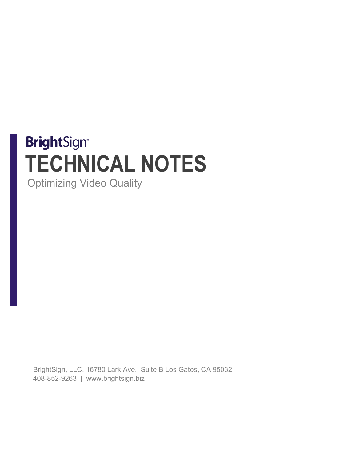# **BrightSign® TECHNICAL NOTES**

Optimizing Video Quality

BrightSign, LLC. 16780 Lark Ave., Suite B Los Gatos, CA 95032 408-852-9263 | www.brightsign.biz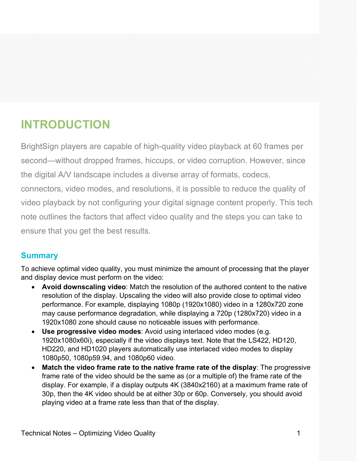# **INTRODUCTION**

BrightSign players are capable of high-quality video playback at 60 frames per second—without dropped frames, hiccups, or video corruption. However, since the digital A/V landscape includes a diverse array of formats, codecs, connectors, video modes, and resolutions, it is possible to reduce the quality of video playback by not configuring your digital signage content properly. This tech note outlines the factors that affect video quality and the steps you can take to ensure that you get the best results.

# **Summary**

To achieve optimal video quality, you must minimize the amount of processing that the player and display device must perform on the video:

- **Avoid downscaling video**: Match the resolution of the authored content to the native resolution of the display. Upscaling the video will also provide close to optimal video performance. For example, displaying 1080p (1920x1080) video in a 1280x720 zone may cause performance degradation, while displaying a 720p (1280x720) video in a 1920x1080 zone should cause no noticeable issues with performance.
- **Use progressive video modes**: Avoid using interlaced video modes (e.g. 1920x1080x60i), especially if the video displays text. Note that the LS422, HD120, HD220, and HD1020 players automatically use interlaced video modes to display 1080p50, 1080p59.94, and 1080p60 video.
- **Match the video frame rate to the native frame rate of the display**: The progressive frame rate of the video should be the same as (or a multiple of) the frame rate of the display. For example, if a display outputs 4K (3840x2160) at a maximum frame rate of 30p, then the 4K video should be at either 30p or 60p. Conversely, you should avoid playing video at a frame rate less than that of the display.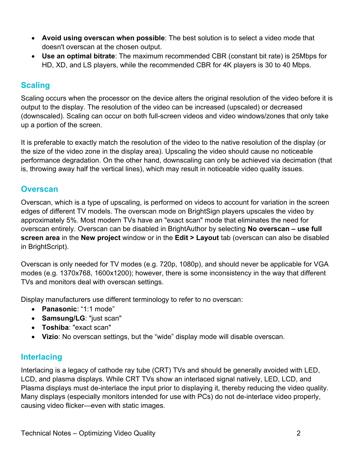- **Avoid using overscan when possible**: The best solution is to select a video mode that doesn't overscan at the chosen output.
- **Use an optimal bitrate**: The maximum recommended CBR (constant bit rate) is 25Mbps for HD, XD, and LS players, while the recommended CBR for 4K players is 30 to 40 Mbps.

# **Scaling**

Scaling occurs when the processor on the device alters the original resolution of the video before it is output to the display. The resolution of the video can be increased (upscaled) or decreased (downscaled). Scaling can occur on both full-screen videos and video windows/zones that only take up a portion of the screen.

It is preferable to exactly match the resolution of the video to the native resolution of the display (or the size of the video zone in the display area). Upscaling the video should cause no noticeable performance degradation. On the other hand, downscaling can only be achieved via decimation (that is, throwing away half the vertical lines), which may result in noticeable video quality issues.

#### **Overscan**

Overscan, which is a type of upscaling, is performed on videos to account for variation in the screen edges of different TV models. The overscan mode on BrightSign players upscales the video by approximately 5%. Most modern TVs have an "exact scan" mode that eliminates the need for overscan entirely. Overscan can be disabled in BrightAuthor by selecting **No overscan – use full screen area** in the **New project** window or in the **Edit > Layout** tab (overscan can also be disabled in BrightScript).

Overscan is only needed for TV modes (e.g. 720p, 1080p), and should never be applicable for VGA modes (e.g. 1370x768, 1600x1200); however, there is some inconsistency in the way that different TVs and monitors deal with overscan settings.

Display manufacturers use different terminology to refer to no overscan:

- **Panasonic**: "1:1 mode"
- **Samsung/LG**: "just scan"
- **Toshiba**: "exact scan"
- **Vizio**: No overscan settings, but the "wide" display mode will disable overscan.

# **Interlacing**

Interlacing is a legacy of cathode ray tube (CRT) TVs and should be generally avoided with LED, LCD, and plasma displays. While CRT TVs show an interlaced signal natively, LED, LCD, and Plasma displays must de-interlace the input prior to displaying it, thereby reducing the video quality. Many displays (especially monitors intended for use with PCs) do not de-interlace video properly, causing video flicker—even with static images.